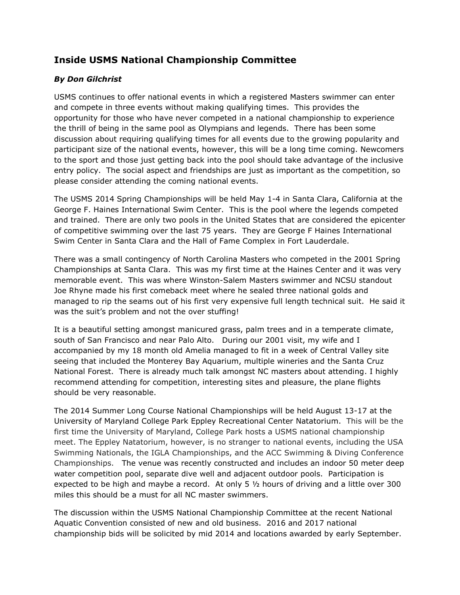## **Inside USMS National Championship Committee**

## *By Don Gilchrist*

USMS continues to offer national events in which a registered Masters swimmer can enter and compete in three events without making qualifying times. This provides the opportunity for those who have never competed in a national championship to experience the thrill of being in the same pool as Olympians and legends. There has been some discussion about requiring qualifying times for all events due to the growing popularity and participant size of the national events, however, this will be a long time coming. Newcomers to the sport and those just getting back into the pool should take advantage of the inclusive entry policy. The social aspect and friendships are just as important as the competition, so please consider attending the coming national events.

The USMS 2014 Spring Championships will be held May 1-4 in Santa Clara, California at the George F. Haines International Swim Center. This is the pool where the legends competed and trained. There are only two pools in the United States that are considered the epicenter of competitive swimming over the last 75 years. They are George F Haines International Swim Center in Santa Clara and the Hall of Fame Complex in Fort Lauderdale.

There was a small contingency of North Carolina Masters who competed in the 2001 Spring Championships at Santa Clara. This was my first time at the Haines Center and it was very memorable event. This was where Winston-Salem Masters swimmer and NCSU standout Joe Rhyne made his first comeback meet where he sealed three national golds and managed to rip the seams out of his first very expensive full length technical suit. He said it was the suit's problem and not the over stuffing!

It is a beautiful setting amongst manicured grass, palm trees and in a temperate climate, south of San Francisco and near Palo Alto. During our 2001 visit, my wife and I accompanied by my 18 month old Amelia managed to fit in a week of Central Valley site seeing that included the Monterey Bay Aquarium, multiple wineries and the Santa Cruz National Forest. There is already much talk amongst NC masters about attending. I highly recommend attending for competition, interesting sites and pleasure, the plane flights should be very reasonable.

The 2014 Summer Long Course National Championships will be held August 13-17 at the University of Maryland College Park Eppley Recreational Center Natatorium. This will be the first time the University of Maryland, College Park hosts a USMS national championship meet. The Eppley Natatorium, however, is no stranger to national events, including the USA Swimming Nationals, the IGLA Championships, and the ACC Swimming & Diving Conference Championships. The venue was recently constructed and includes an indoor 50 meter deep water competition pool, separate dive well and adjacent outdoor pools. Participation is expected to be high and maybe a record. At only 5 ½ hours of driving and a little over 300 miles this should be a must for all NC master swimmers.

The discussion within the USMS National Championship Committee at the recent National Aquatic Convention consisted of new and old business. 2016 and 2017 national championship bids will be solicited by mid 2014 and locations awarded by early September.